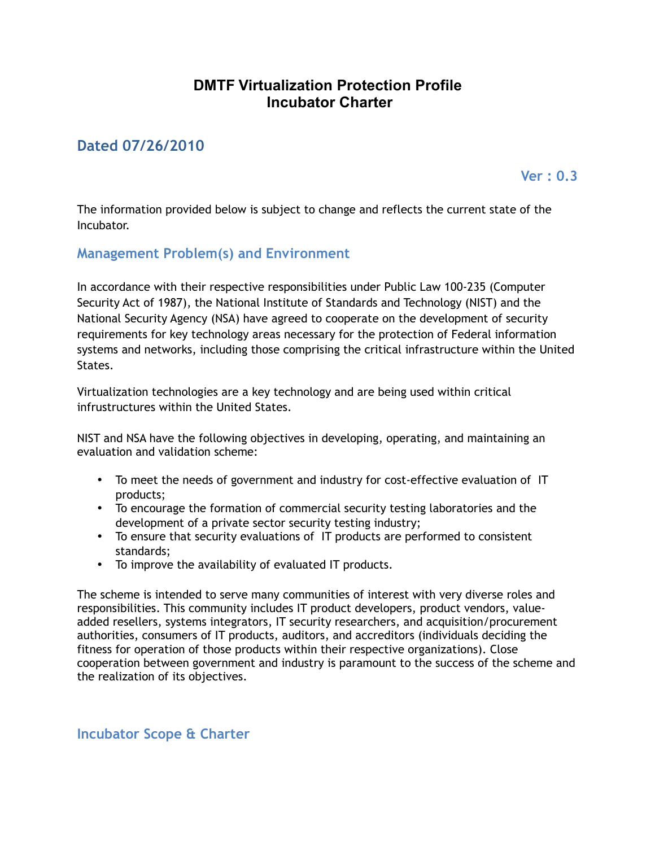## **DMTF Virtualization Protection Profile Incubator Charter**

## **Dated 07/26/2010**

**Ver : 0.3**

The information provided below is subject to change and reflects the current state of the Incubator.

**Management Problem(s) and Environment**

In accordance with their respective responsibilities under Public Law 100-235 (Computer Security Act of 1987), the National Institute of Standards and Technology (NIST) and the National Security Agency (NSA) have agreed to cooperate on the development of security requirements for key technology areas necessary for the protection of Federal information systems and networks, including those comprising the critical infrastructure within the United States.

Virtualization technologies are a key technology and are being used within critical infrustructures within the United States.

NIST and NSA have the following objectives in developing, operating, and maintaining an evaluation and validation scheme:

- To meet the needs of government and industry for cost-effective evaluation of IT products;
- To encourage the formation of commercial security testing laboratories and the development of a private sector security testing industry;
- To ensure that security evaluations of IT products are performed to consistent standards;
- To improve the availability of evaluated IT products.

The scheme is intended to serve many communities of interest with very diverse roles and responsibilities. This community includes IT product developers, product vendors, valueadded resellers, systems integrators, IT security researchers, and acquisition/procurement authorities, consumers of IT products, auditors, and accreditors (individuals deciding the fitness for operation of those products within their respective organizations). Close cooperation between government and industry is paramount to the success of the scheme and the realization of its objectives.

**Incubator Scope & Charter**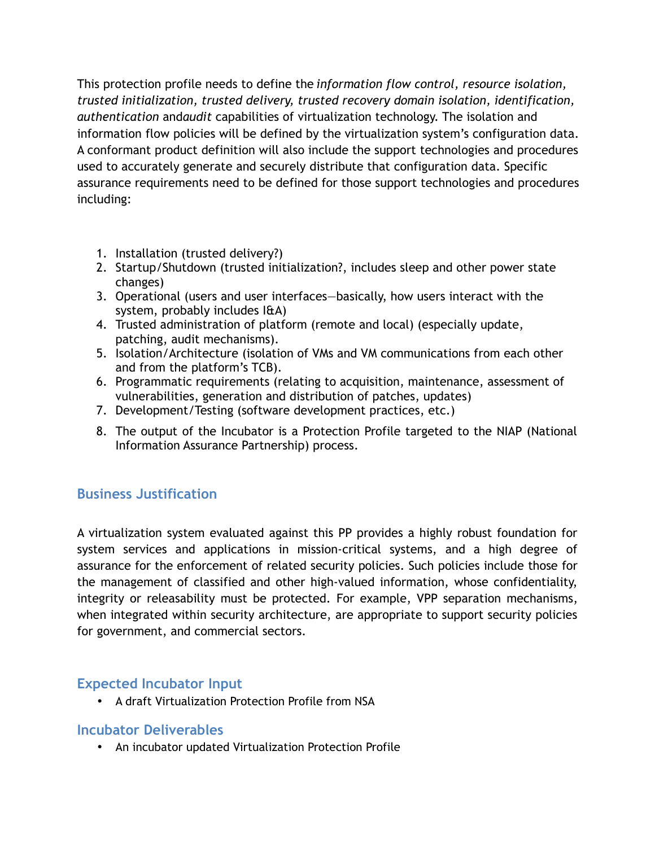This protection profile needs to define the *information flow control, resource isolation, trusted initialization, trusted delivery, trusted recovery domain isolation, identification, authentication* and*audit* capabilities of virtualization technology. The isolation and information flow policies will be defined by the virtualization system's configuration data. A conformant product definition will also include the support technologies and procedures used to accurately generate and securely distribute that configuration data. Specific assurance requirements need to be defined for those support technologies and procedures including:

- 1. Installation (trusted delivery?)
- 2. Startup/Shutdown (trusted initialization?, includes sleep and other power state changes)
- 3. Operational (users and user interfaces—basically, how users interact with the system, probably includes I&A)
- 4. Trusted administration of platform (remote and local) (especially update, patching, audit mechanisms).
- 5. Isolation/Architecture (isolation of VMs and VM communications from each other and from the platform's TCB).
- 6. Programmatic requirements (relating to acquisition, maintenance, assessment of vulnerabilities, generation and distribution of patches, updates)
- 7. Development/Testing (software development practices, etc.)
- 8. The output of the Incubator is a Protection Profile targeted to the NIAP (National Information Assurance Partnership) process.

## **Business Justification**

A virtualization system evaluated against this PP provides a highly robust foundation for system services and applications in mission-critical systems, and a high degree of assurance for the enforcement of related security policies. Such policies include those for the management of classified and other high-valued information, whose confidentiality, integrity or releasability must be protected. For example, VPP separation mechanisms, when integrated within security architecture, are appropriate to support security policies for government, and commercial sectors.

## **Expected Incubator Input**

• A draft Virtualization Protection Profile from NSA

#### **Incubator Deliverables**

• An incubator updated Virtualization Protection Profile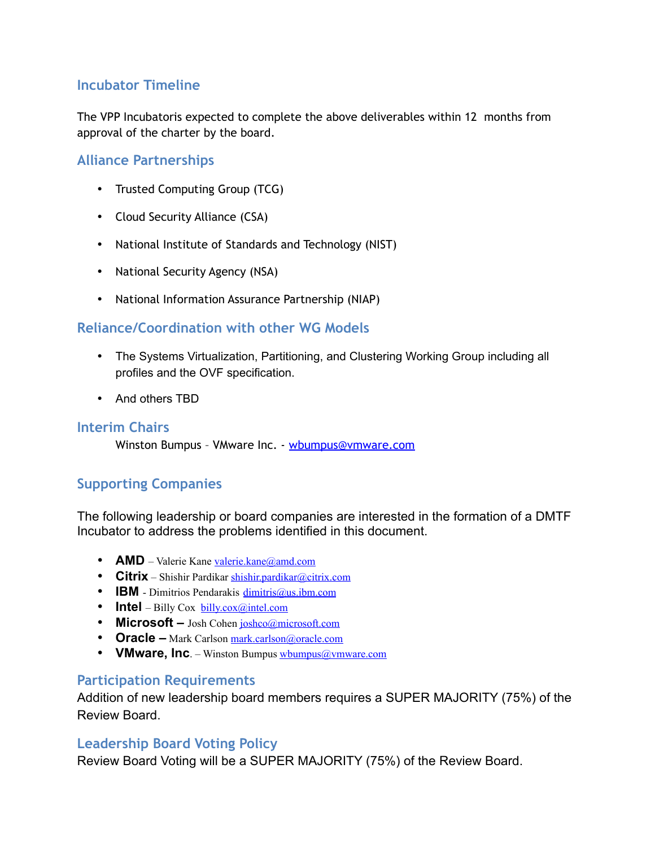## **Incubator Timeline**

The VPP Incubatoris expected to complete the above deliverables within 12 months from approval of the charter by the board.

#### **Alliance Partnerships**

- Trusted Computing Group (TCG)
- Cloud Security Alliance (CSA)
- National Institute of Standards and Technology (NIST)
- National Security Agency (NSA)
- National Information Assurance Partnership (NIAP)

## **Reliance/Coordination with other WG Models**

- The Systems Virtualization, Partitioning, and Clustering Working Group including all profiles and the OVF specification.
- And others TBD

#### **Interim Chairs**

Winston Bumpus - VMware Inc. - [wbumpus@vmware.com](mailto:wbumpus@vmware.com)

## **Supporting Companies**

The following leadership or board companies are interested in the formation of a DMTF Incubator to address the problems identified in this document.

- **AMD** Valerie Kane [valerie.kane@amd.com](mailto:valerie.kane@amd.com)
- **Citrix** Shishir Pardikar [shishir.pardikar@citrix.com](mailto:shishir.pardikar@citrix.com)
- **IBM**  Dimitrios Pendarakis [dimitris@us.ibm.com](mailto:dimitris@us.ibm.com)
- **Intel** Billy Cox [billy.cox@intel.com](mailto:billy.cox@intel.com)
- **Microsoft** Josh Cohen *joshco@microsoft.com*
- **Oracle –** Mark Carlson [mark.carlson@oracle.com](mailto:mark.carlson@oracle.com)
- **VMware, Inc**. Winston Bumpus [wbumpus@vmware.com](mailto:wbumpus@vmware.com)

#### **Participation Requirements**

Addition of new leadership board members requires a SUPER MAJORITY (75%) of the Review Board.

#### **Leadership Board Voting Policy**

Review Board Voting will be a SUPER MAJORITY (75%) of the Review Board.